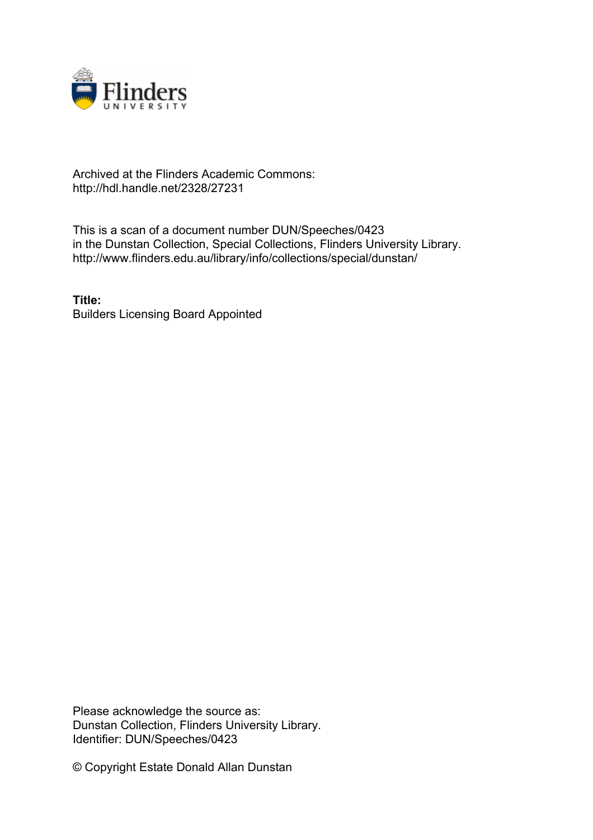

## Archived at the Flinders Academic Commons: http://hdl.handle.net/2328/27231

This is a scan of a document number DUN/Speeches/0423 in the Dunstan Collection, Special Collections, Flinders University Library. http://www.flinders.edu.au/library/info/collections/special/dunstan/

**Title:** Builders Licensing Board Appointed

Please acknowledge the source as: Dunstan Collection, Flinders University Library. Identifier: DUN/Speeches/0423

© Copyright Estate Donald Allan Dunstan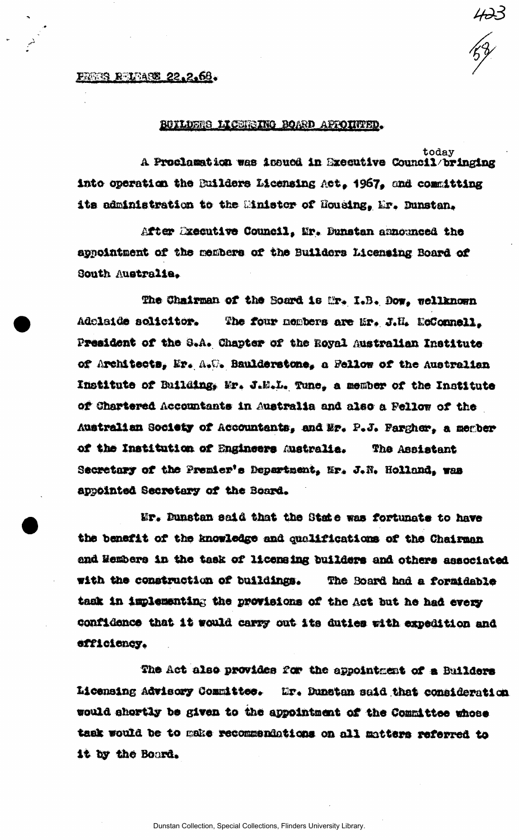## **FREES REIEASE 22.2.66.**

## BUILDERS LICERSING BOARD AFFOINTED.

today A Proclamation was incued in Executive Council/bringing into operation the Builders Licensing Act, 1967, and committing its administration to the Minister of Housing, Mr. Dunstan.

After Executive Council, Mr. Dunstan announced the appointment of the members of the Builders Licensing Board of South Australia.

The Chairman of the Board is Mr. I.B. Dow. wellknown Adolaide solicitor. The four members are are. J.H. EcConnell. President of the S.A. Chapter of the Royal Australian Institute of Architects, Er. A.W. Baulderstone, a Fellow of the Australian Institute of Building, Mr. J.M.L. Tune, a member of the Institute of Chartered Accountants in Australia and also a Fellow of the Australian Society of Accountants, and Mr. P.J. Pargher, a member of the Institution of Engineers Australia. The Assistant Secretary of the Premier's Department, Mr. J.N. Holland, was appointed Secretary of the Board.

Mr. Dunstan said that the State was fortunate to have the benefit of the knowledge and qualifications of the Chairman and Wembers in the task of licensing builders and others associated with the construction of buildings. The Board had a formidable task in implementing the provisions of the Act but he had every confidence that it would carry out its duties with expedition and efficiency.

The Act also provides for the appointment of a Builders Licensing Advisory Committee. Mr. Dunstan said that consideration would shortly be given to the appointment of the Committee whose task would be to make recommendations on all matters referred to it by the Board.